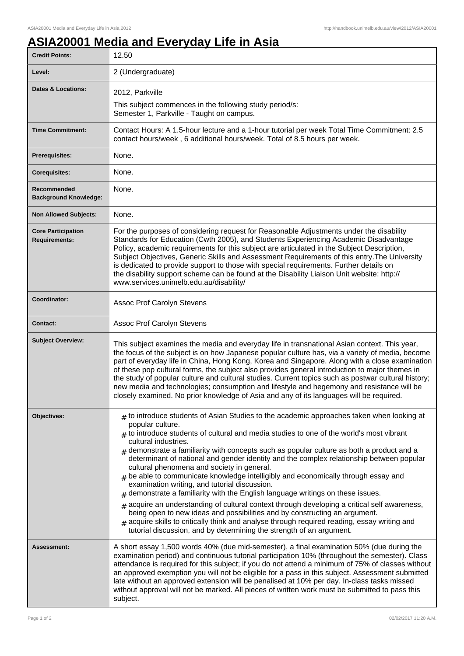## **ASIA20001 Media and Everyday Life in Asia**

| <b>Credit Points:</b>                             | 12.50                                                                                                                                                                                                                                                                                                                                                                                                                                                                                                                                                                                                                                                                                                                                                                                                                                                                                                                                                                                                                                                          |
|---------------------------------------------------|----------------------------------------------------------------------------------------------------------------------------------------------------------------------------------------------------------------------------------------------------------------------------------------------------------------------------------------------------------------------------------------------------------------------------------------------------------------------------------------------------------------------------------------------------------------------------------------------------------------------------------------------------------------------------------------------------------------------------------------------------------------------------------------------------------------------------------------------------------------------------------------------------------------------------------------------------------------------------------------------------------------------------------------------------------------|
| Level:                                            | 2 (Undergraduate)                                                                                                                                                                                                                                                                                                                                                                                                                                                                                                                                                                                                                                                                                                                                                                                                                                                                                                                                                                                                                                              |
| <b>Dates &amp; Locations:</b>                     | 2012, Parkville<br>This subject commences in the following study period/s:<br>Semester 1, Parkville - Taught on campus.                                                                                                                                                                                                                                                                                                                                                                                                                                                                                                                                                                                                                                                                                                                                                                                                                                                                                                                                        |
| <b>Time Commitment:</b>                           | Contact Hours: A 1.5-hour lecture and a 1-hour tutorial per week Total Time Commitment: 2.5<br>contact hours/week, 6 additional hours/week. Total of 8.5 hours per week.                                                                                                                                                                                                                                                                                                                                                                                                                                                                                                                                                                                                                                                                                                                                                                                                                                                                                       |
| <b>Prerequisites:</b>                             | None.                                                                                                                                                                                                                                                                                                                                                                                                                                                                                                                                                                                                                                                                                                                                                                                                                                                                                                                                                                                                                                                          |
| <b>Corequisites:</b>                              | None.                                                                                                                                                                                                                                                                                                                                                                                                                                                                                                                                                                                                                                                                                                                                                                                                                                                                                                                                                                                                                                                          |
| Recommended<br><b>Background Knowledge:</b>       | None.                                                                                                                                                                                                                                                                                                                                                                                                                                                                                                                                                                                                                                                                                                                                                                                                                                                                                                                                                                                                                                                          |
| <b>Non Allowed Subjects:</b>                      | None.                                                                                                                                                                                                                                                                                                                                                                                                                                                                                                                                                                                                                                                                                                                                                                                                                                                                                                                                                                                                                                                          |
| <b>Core Participation</b><br><b>Requirements:</b> | For the purposes of considering request for Reasonable Adjustments under the disability<br>Standards for Education (Cwth 2005), and Students Experiencing Academic Disadvantage<br>Policy, academic requirements for this subject are articulated in the Subject Description,<br>Subject Objectives, Generic Skills and Assessment Requirements of this entry. The University<br>is dedicated to provide support to those with special requirements. Further details on<br>the disability support scheme can be found at the Disability Liaison Unit website: http://<br>www.services.unimelb.edu.au/disability/                                                                                                                                                                                                                                                                                                                                                                                                                                               |
| Coordinator:                                      | Assoc Prof Carolyn Stevens                                                                                                                                                                                                                                                                                                                                                                                                                                                                                                                                                                                                                                                                                                                                                                                                                                                                                                                                                                                                                                     |
| <b>Contact:</b>                                   | Assoc Prof Carolyn Stevens                                                                                                                                                                                                                                                                                                                                                                                                                                                                                                                                                                                                                                                                                                                                                                                                                                                                                                                                                                                                                                     |
| <b>Subject Overview:</b>                          | This subject examines the media and everyday life in transnational Asian context. This year,<br>the focus of the subject is on how Japanese popular culture has, via a variety of media, become<br>part of everyday life in China, Hong Kong, Korea and Singapore. Along with a close examination<br>of these pop cultural forms, the subject also provides general introduction to major themes in<br>the study of popular culture and cultural studies. Current topics such as postwar cultural history;<br>new media and technologies; consumption and lifestyle and hegemony and resistance will be<br>closely examined. No prior knowledge of Asia and any of its languages will be required.                                                                                                                                                                                                                                                                                                                                                             |
| Objectives:                                       | $#$ to introduce students of Asian Studies to the academic approaches taken when looking at<br>popular culture.<br>$_{\#}$ to introduce students of cultural and media studies to one of the world's most vibrant<br>cultural industries.<br>demonstrate a familiarity with concepts such as popular culture as both a product and a<br>determinant of national and gender identity and the complex relationship between popular<br>cultural phenomena and society in general.<br>be able to communicate knowledge intelligibly and economically through essay and<br>examination writing, and tutorial discussion.<br>demonstrate a familiarity with the English language writings on these issues.<br>$*$ acquire an understanding of cultural context through developing a critical self awareness,<br>being open to new ideas and possibilities and by constructing an argument.<br>$*$ acquire skills to critically think and analyse through required reading, essay writing and<br>tutorial discussion, and by determining the strength of an argument. |
| Assessment:                                       | A short essay 1,500 words 40% (due mid-semester), a final examination 50% (due during the<br>examination period) and continuous tutorial participation 10% (throughout the semester). Class<br>attendance is required for this subject; if you do not attend a minimum of 75% of classes without<br>an approved exemption you will not be eligible for a pass in this subject. Assessment submitted<br>late without an approved extension will be penalised at 10% per day. In-class tasks missed<br>without approval will not be marked. All pieces of written work must be submitted to pass this<br>subject.                                                                                                                                                                                                                                                                                                                                                                                                                                                |